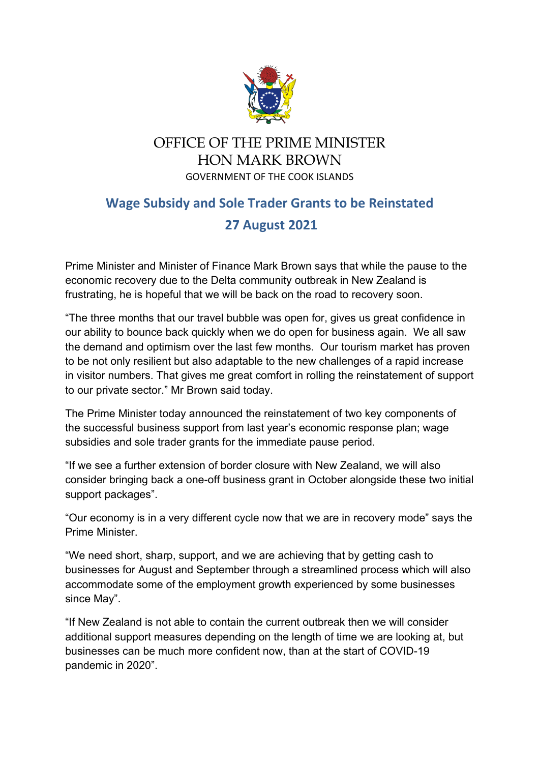

## OFFICE OF THE PRIME MINISTER HON MARK BROWN GOVERNMENT OF THE COOK ISLANDS

## **Wage Subsidy and Sole Trader Grants to be Reinstated 27 August 2021**

Prime Minister and Minister of Finance Mark Brown says that while the pause to the economic recovery due to the Delta community outbreak in New Zealand is frustrating, he is hopeful that we will be back on the road to recovery soon.

"The three months that our travel bubble was open for, gives us great confidence in our ability to bounce back quickly when we do open for business again. We all saw the demand and optimism over the last few months. Our tourism market has proven to be not only resilient but also adaptable to the new challenges of a rapid increase in visitor numbers. That gives me great comfort in rolling the reinstatement of support to our private sector." Mr Brown said today.

The Prime Minister today announced the reinstatement of two key components of the successful business support from last year's economic response plan; wage subsidies and sole trader grants for the immediate pause period.

"If we see a further extension of border closure with New Zealand, we will also consider bringing back a one-off business grant in October alongside these two initial support packages".

"Our economy is in a very different cycle now that we are in recovery mode" says the Prime Minister.

"We need short, sharp, support, and we are achieving that by getting cash to businesses for August and September through a streamlined process which will also accommodate some of the employment growth experienced by some businesses since May".

"If New Zealand is not able to contain the current outbreak then we will consider additional support measures depending on the length of time we are looking at, but businesses can be much more confident now, than at the start of COVID-19 pandemic in 2020".